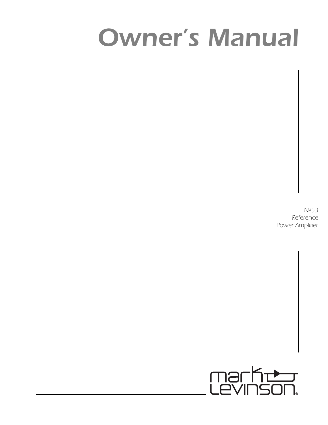# *Owner's Manual*

*No53 Reference Power Amplifier*

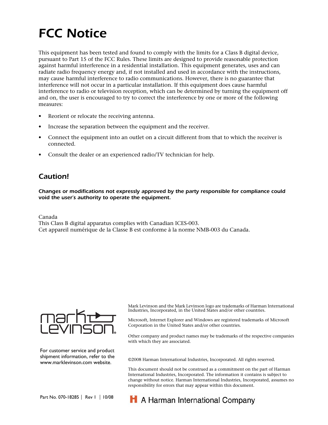# *FCC Notice*

This equipment has been tested and found to comply with the limits for a Class B digital device, pursuant to Part 15 of the FCC Rules. These limits are designed to provide reasonable protection against harmful interference in a residential installation. This equipment generates, uses and can radiate radio frequency energy and, if not installed and used in accordance with the instructions, may cause harmful interference to radio communications. However, there is no guarantee that interference will not occur in a particular installation. If this equipment does cause harmful interference to radio or television reception, which can be determined by turning the equipment off and on, the user is encouraged to try to correct the interference by one or more of the following measures:

- Reorient or relocate the receiving antenna.
- Increase the separation between the equipment and the receiver.
- Connect the equipment into an outlet on a circuit different from that to which the receiver is connected.
- Consult the dealer or an experienced radio/TV technician for help.

### *Caution!*

*Changes or modifications not expressly approved by the party responsible for compliance could void the user's authority to operate the equipment.*

Canada

This Class B digital apparatus complies with Canadian ICES-003.

Cet appareil numérique de la Classe B est conforme à la norme NMB-003 du Canada.



For customer service and product shipment information, refer to the www.marklevinson.com website.

Mark Levinson and the Mark Levinson logo are trademarks of Harman International Industries, Incorporated, in the United States and/or other countries.

Microsoft, Internet Explorer and Windows are registered trademarks of Microsoft Corporation in the United States and/or other countries.

Other company and product names may be trademarks of the respective companies with which they are associated.

©2008 Harman International Industries, Incorporated. All rights reserved.

This document should not be construed as a commitment on the part of Harman International Industries, Incorporated. The information it contains is subject to change without notice. Harman International Industries, Incorporated, assumes no responsibility for errors that may appear within this document.

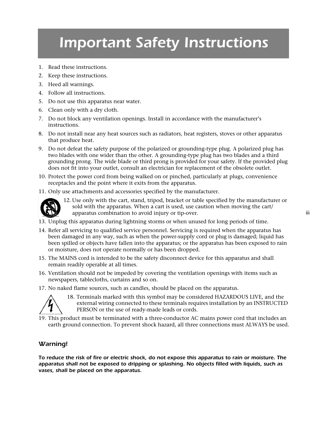# *Important Safety Instructions*

- 1. Read these instructions.
- 2. Keep these instructions.
- 3. Heed all warnings.
- 4. Follow all instructions.
- 5. Do not use this apparatus near water.
- 6. Clean only with a dry cloth.
- 7. Do not block any ventilation openings. Install in accordance with the manufacturer's instructions.
- 8. Do not install near any heat sources such as radiators, heat registers, stoves or other apparatus that produce heat.
- 9. Do not defeat the safety purpose of the polarized or grounding-type plug. A polarized plug has two blades with one wider than the other. A grounding-type plug has two blades and a third grounding prong. The wide blade or third prong is provided for your safety. If the provided plug does not fit into your outlet, consult an electrician for replacement of the obsolete outlet.
- 10. Protect the power cord from being walked on or pinched, particularly at plugs, convenience receptacles and the point where it exits from the apparatus.
- 11. Only use attachments and accessories specified by the manufacturer.



12. Use only with the cart, stand, tripod, bracket or table specified by the manufacturer or sold with the apparatus. When a cart is used, use caution when moving the cart/ apparatus combination to avoid injury or tip-over.

- 13. Unplug this apparatus during lightning storms or when unused for long periods of time.
- 14. Refer all servicing to qualified service personnel. Servicing is required when the apparatus has been damaged in any way, such as when the power-supply cord or plug is damaged; liquid has been spilled or objects have fallen into the apparatus; or the apparatus has been exposed to rain or moisture, does not operate normally or has been dropped.
- 15. The MAINS cord is intended to be the safety disconnect device for this apparatus and shall remain readily operable at all times.
- 16. Ventilation should not be impeded by covering the ventilation openings with items such as newspapers, tablecloths, curtains and so on.
- 17. No naked flame sources, such as candles, should be placed on the apparatus.



18. Terminals marked with this symbol may be considered HAZARDOUS LIVE, and the external wiring connected to these terminals requires installation by an INSTRUCTED PERSON or the use of ready-made leads or cords.

19. This product must be terminated with a three-conductor AC mains power cord that includes an earth ground connection. To prevent shock hazard, all three connections must ALWAYS be used.

### *Warning!*

*To reduce the risk of fire or electric shock, do not expose this apparatus to rain or moisture. The apparatus shall not be exposed to dripping or splashing. No objects filled with liquids, such as vases, shall be placed on the apparatus.*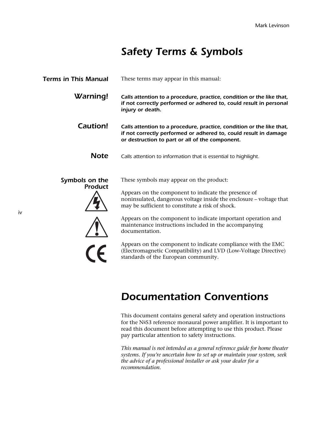### *Safety Terms & Symbols*

| <b>Terms in This Manual</b>      | These terms may appear in this manual:                                                                                                                                                       |
|----------------------------------|----------------------------------------------------------------------------------------------------------------------------------------------------------------------------------------------|
| Warning!                         | Calls attention to a procedure, practice, condition or the like that,<br>if not correctly performed or adhered to, could result in personal<br>injury or death.                              |
| Caution!                         | Calls attention to a procedure, practice, condition or the like that,<br>if not correctly performed or adhered to, could result in damage<br>or destruction to part or all of the component. |
| <b>Note</b>                      | Calls attention to information that is essential to highlight.                                                                                                                               |
| Symbols on the<br><b>Product</b> | These symbols may appear on the product:                                                                                                                                                     |
|                                  | Appears on the component to indicate the presence of<br>noninsulated, dangerous voltage inside the enclosure - voltage that<br>may be sufficient to constitute a risk of shock.              |
|                                  | Appears on the component to indicate important operation and<br>maintenance instructions included in the accompanying<br>documentation.                                                      |
|                                  | Appears on the component to indicate compliance with the EMC<br>(Electromagnetic Compatibility) and LVD (Low-Voltage Directive)<br>standards of the European community.                      |

### *Documentation Conventions*

This document contains general safety and operation instructions for the  $N<sup>o</sup>53$  reference monaural power amplifier. It is important to read this document before attempting to use this product. Please pay particular attention to safety instructions.

*This manual is not intended as a general reference guide for home theater systems. If you're uncertain how to set up or maintain your system, seek the advice of a professional installer or ask your dealer for a recommendation.*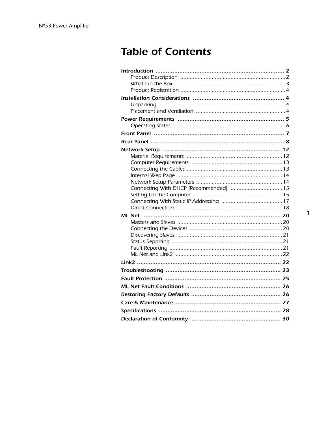### **Table of Contents**

| Connecting With DHCP (Recommended)  15 |
|----------------------------------------|
|                                        |
|                                        |
|                                        |
|                                        |
|                                        |
|                                        |
|                                        |
|                                        |
|                                        |
|                                        |
|                                        |
|                                        |
|                                        |
|                                        |
|                                        |
|                                        |
|                                        |
|                                        |

 $\mathbf{1}$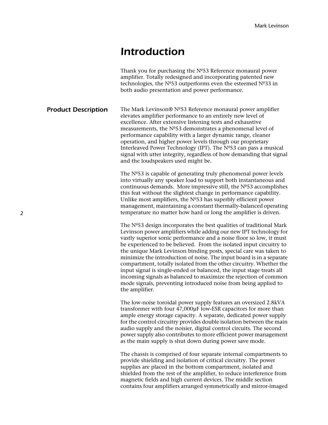### *Introduction*

|                            | Thank you for purchasing the Nº53 Reference monaural power<br>amplifier. Totally redesigned and incorporating patented new<br>technologies, the Nº53 outperforms even the esteemed Nº33 in<br>both audio presentation and power performance.                                                                                                                                                                                                                                                                                                                                                                                                                                                                                                |
|----------------------------|---------------------------------------------------------------------------------------------------------------------------------------------------------------------------------------------------------------------------------------------------------------------------------------------------------------------------------------------------------------------------------------------------------------------------------------------------------------------------------------------------------------------------------------------------------------------------------------------------------------------------------------------------------------------------------------------------------------------------------------------|
| <b>Product Description</b> | The Mark Levinson® Nº53 Reference monaural power amplifier<br>elevates amplifier performance to an entirely new level of<br>excellence. After extensive listening tests and exhaustive<br>measurements, the Nº53 demonstrates a phenomenal level of<br>performance capability with a larger dynamic range, cleaner<br>operation, and higher power levels through our proprietary<br>Interleaved Power Technology (IPT). The Nº53 can pass a musical<br>signal with utter integrity, regardless of how demanding that signal<br>and the loudspeakers used might be.                                                                                                                                                                          |
|                            | The $No53$ is capable of generating truly phenomenal power levels<br>into virtually any speaker load to support both instantaneous and<br>continuous demands. More impressive still, the Nº53 accomplishes<br>this feat without the slightest change in performance capability.<br>Unlike most amplifiers, the $No53$ has superbly efficient power<br>management, maintaining a constant thermally-balanced operating<br>temperature no matter how hard or long the amplifier is driven.                                                                                                                                                                                                                                                    |
|                            | The Nº53 design incorporates the best qualities of traditional Mark<br>Levinson power amplifiers while adding our new IPT technology for<br>vastly superior sonic performance and a noise floor so low, it must<br>be experienced to be believed. From the isolated input circuitry to<br>the unique Mark Levinson binding posts, special care was taken to<br>minimize the introduction of noise. The input board is in a separate<br>compartment, totally isolated from the other circuitry. Whether the<br>input signal is single-ended or balanced, the input stage treats all<br>incoming signals as balanced to maximize the rejection of common<br>mode signals, preventing introduced noise from being applied to<br>the amplifier. |

The low-noise toroidal power supply features an oversized 2.8kVA transformer with four 47,000µF low-ESR capacitors for more than ample energy storage capacity. A separate, dedicated power supply for the control circuitry provides double isolation between the main audio supply and the noisier, digital control circuits. The second power supply also contributes to more efficient power management as the main supply is shut down during power save mode.

The chassis is comprised of four separate internal compartments to provide shielding and isolation of critical circuitry. The power supplies are placed in the bottom compartment, isolated and shielded from the rest of the amplifier, to reduce interference from magnetic fields and high current devices. The middle section contains four amplifiers arranged symmetrically and mirror-imaged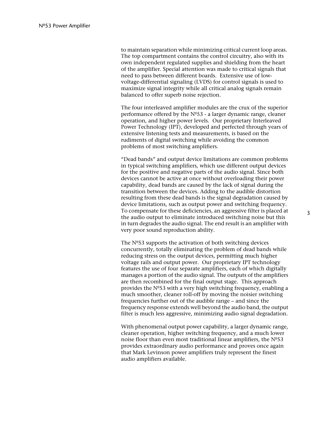to maintain separation while minimizing critical current loop areas. The top compartment contains the control circuitry, also with its own independent regulated supplies and shielding from the heart of the amplifier. Special attention was made to critical signals that need to pass between different boards. Extensive use of lowvoltage-differential signaling (LVDS) for control signals is used to maximize signal integrity while all critical analog signals remain balanced to offer superb noise rejection.

The four interleaved amplifier modules are the crux of the superior performance offered by the Nº53 - a larger dynamic range, cleaner operation, and higher power levels. Our proprietary Interleaved Power Technology (IPT), developed and perfected through years of extensive listening tests and measurements, is based on the rudiments of digital switching while avoiding the common problems of most switching amplifiers.

"Dead bands" and output device limitations are common problems in typical switching amplifiers, which use different output devices for the positive and negative parts of the audio signal. Since both devices cannot be active at once without overloading their power capability, dead bands are caused by the lack of signal during the transition between the devices. Adding to the audible distortion resulting from these dead bands is the signal degradation caused by device limitations, such as output power and switching frequency. To compensate for these deficiencies, an aggressive filter is placed at the audio output to eliminate introduced switching noise but this in turn degrades the audio signal. The end result is an amplifier with very poor sound reproduction ability.

The  $N<sup>o</sup>53$  supports the activation of both switching devices concurrently, totally eliminating the problem of dead bands while reducing stress on the output devices, permitting much higher voltage rails and output power. Our proprietary IPT technology features the use of four separate amplifiers, each of which digitally manages a portion of the audio signal. The outputs of the amplifiers are then recombined for the final output stage. This approach provides the Nº53 with a very high switching frequency, enabling a much smoother, cleaner roll-off by moving the noisier switching frequencies further out of the audible range – and since the frequency response extends well beyond the audio band, the output filter is much less aggressive, minimizing audio signal degradation.

With phenomenal output power capability, a larger dynamic range, cleaner operation, higher switching frequency, and a much lower noise floor than even most traditional linear amplifiers, the Nº53 provides extraordinary audio performance and proves once again that Mark Levinson power amplifiers truly represent the finest audio amplifiers available.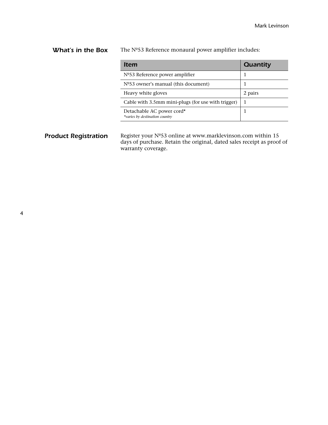**What's in the Box** The Nº53 Reference monaural power amplifier includes:

| Item                                                        | Quantity |
|-------------------------------------------------------------|----------|
| $No53$ Reference power amplifier                            |          |
| Nº53 owner's manual (this document)                         |          |
| Heavy white gloves                                          | 2 pairs  |
| Cable with 3.5mm mini-plugs (for use with trigger)          |          |
| Detachable AC power cord*<br>*varies by destination country |          |

**Product Registration** Register your Nº53 online at www.marklevinson.com within 15 days of purchase. Retain the original, dated sales receipt as proof of warranty coverage.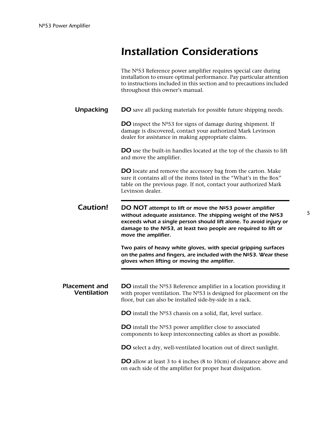# *Installation Considerations*

|                                            | The Nº53 Reference power amplifier requires special care during<br>installation to ensure optimal performance. Pay particular attention<br>to instructions included in this section and to precautions included<br>throughout this owner's manual.                                      |
|--------------------------------------------|-----------------------------------------------------------------------------------------------------------------------------------------------------------------------------------------------------------------------------------------------------------------------------------------|
| <b>Unpacking</b>                           | <b>DO</b> save all packing materials for possible future shipping needs.                                                                                                                                                                                                                |
|                                            | <b>DO</b> inspect the $No53$ for signs of damage during shipment. If<br>damage is discovered, contact your authorized Mark Levinson<br>dealer for assistance in making appropriate claims.                                                                                              |
|                                            | <b>DO</b> use the built-in handles located at the top of the chassis to lift<br>and move the amplifier.                                                                                                                                                                                 |
|                                            | DO locate and remove the accessory bag from the carton. Make<br>sure it contains all of the items listed in the "What's in the Box"<br>table on the previous page. If not, contact your authorized Mark<br>Levinson dealer.                                                             |
| Caution!                                   | DO NOT attempt to lift or move the Nº53 power amplifier<br>without adequate assistance. The shipping weight of the Nº53<br>exceeds what a single person should lift alone. To avoid injury or<br>damage to the Nº53, at least two people are required to lift or<br>move the amplifier. |
|                                            | Two pairs of heavy white gloves, with special gripping surfaces<br>on the palms and fingers, are included with the Nº53. Wear these<br>gloves when lifting or moving the amplifier.                                                                                                     |
|                                            |                                                                                                                                                                                                                                                                                         |
| <b>Placement and</b><br><b>Ventilation</b> | <b>DO</b> install the $No53$ Reference amplifier in a location providing it<br>with proper ventilation. The $No53$ is designed for placement on the<br>floor, but can also be installed side-by-side in a rack.                                                                         |
|                                            | <b>DO</b> install the $No53$ chassis on a solid, flat, level surface.                                                                                                                                                                                                                   |
|                                            | <b>DO</b> install the $No53$ power amplifier close to associated<br>components to keep interconnecting cables as short as possible.                                                                                                                                                     |
|                                            | <b>DO</b> select a dry, well-ventilated location out of direct sunlight.                                                                                                                                                                                                                |
|                                            | <b>DO</b> allow at least 3 to 4 inches (8 to 10cm) of clearance above and<br>on each side of the amplifier for proper heat dissipation.                                                                                                                                                 |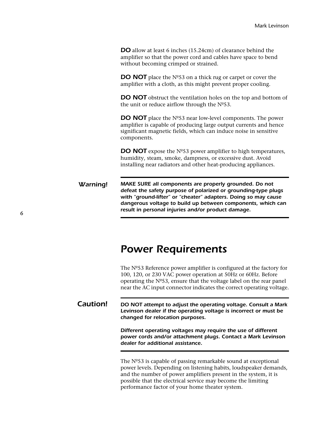**DO** allow at least 6 inches (15.24cm) of clearance behind the amplifier so that the power cord and cables have space to bend without becoming crimped or strained.

**DO NOT** place the N°53 on a thick rug or carpet or cover the amplifier with a cloth, as this might prevent proper cooling.

**DO NOT** obstruct the ventilation holes on the top and bottom of the unit or reduce airflow through the Nº53.

**DO NOT** place the Nº53 near low-level components. The power amplifier is capable of producing large output currents and hence significant magnetic fields, which can induce noise in sensitive components.

**DO NOT** expose the N°53 power amplifier to high temperatures, humidity, steam, smoke, dampness, or excessive dust. Avoid installing near radiators and other heat-producing appliances.

*Warning! MAKE SURE all components are properly grounded. Do not defeat the safety purpose of polarized or grounding-type plugs with "ground-lifter" or "cheater" adapters. Doing so may cause dangerous voltage to build up between components, which can result in personal injuries and/or product damage.*

### *Power Requirements*

The Nº53 Reference power amplifier is configured at the factory for 100, 120, or 230 VAC power operation at 50Hz or 60Hz. Before operating the  $N<sup>o</sup>53$ , ensure that the voltage label on the rear panel near the AC input connector indicates the correct operating voltage.

*Caution! DO NOT attempt to adjust the operating voltage. Consult a Mark Levinson dealer if the operating voltage is incorrect or must be changed for relocation purposes.* 

> *Different operating voltages may require the use of different power cords and/or attachment plugs. Contact a Mark Levinson dealer for additional assistance.*

> The Nº53 is capable of passing remarkable sound at exceptional power levels. Depending on listening habits, loudspeaker demands, and the number of power amplifiers present in the system, it is possible that the electrical service may become the limiting performance factor of your home theater system.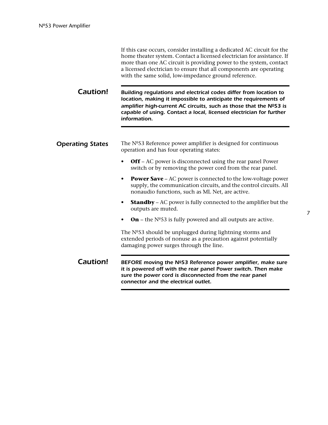| If this case occurs, consider installing a dedicated AC circuit for the |
|-------------------------------------------------------------------------|
| home theater system. Contact a licensed electrician for assistance. If  |
| more than one AC circuit is providing power to the system, contact      |
| a licensed electrician to ensure that all components are operating      |
| with the same solid, low-impedance ground reference.                    |

*Caution! Building regulations and electrical codes differ from location to location, making it impossible to anticipate the requirements of*  amplifier high-current AC circuits, such as those that the Nº53 is *capable of using. Contact a local, licensed electrician for further information.*

#### **Operating States** The Nº53 Reference power amplifier is designed for continuous operation and has four operating states:

- **Off** AC power is disconnected using the rear panel Power switch or by removing the power cord from the rear panel.
- **Power Save** AC power is connected to the low-voltage power supply, the communication circuits, and the control circuits. All nonaudio functions, such as ML Net, are active.
- **Standby** AC power is fully connected to the amplifier but the outputs are muted.
- **On** the  $N^{\circ}53$  is fully powered and all outputs are active.

The Nº53 should be unplugged during lightning storms and extended periods of nonuse as a precaution against potentially damaging power surges through the line.

**Caution!** BEFORE moving the №53 Reference power amplifier, make sure *it is powered off with the rear panel Power switch. Then make sure the power cord is disconnected from the rear panel connector and the electrical outlet.*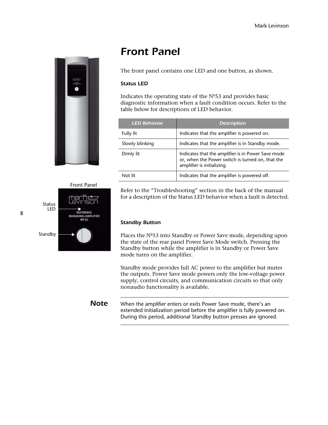

### *Front Panel*

The front panel contains one LED and one button, as shown.

#### *Status LED*

Indicates the operating state of the Nº53 and provides basic diagnostic information when a fault condition occurs. Refer to the table below for descriptions of LED behavior.

| <b>LED Behavior</b> | <b>Description</b>                                                                                                                   |
|---------------------|--------------------------------------------------------------------------------------------------------------------------------------|
| Fully lit           | Indicates that the amplifier is powered on.                                                                                          |
| Slowly blinking     | Indicates that the amplifier is in Standby mode.                                                                                     |
| Dimly lit           | Indicates that the amplifier is in Power Save mode<br>or, when the Power switch is turned on, that the<br>amplifier is initializing. |
| Not lit             | Indicates that the amplifier is powered off.                                                                                         |

#### Front Panel



Refer to the "Troubleshooting" section in the back of the manual for a description of the Status LED behavior when a fault is detected.

#### *Standby Button*

Places the Nº53 into Standby or Power Save mode, depending upon the state of the rear panel Power Save Mode switch. Pressing the Standby button while the amplifier is in Standby or Power Save mode turns on the amplifier.

Standby mode provides full AC power to the amplifier but mutes the outputs. Power Save mode powers only the low-voltage power supply, control circuits, and communication circuits so that only nonaudio functionality is available.

**Note** When the amplifier enters or exits Power Save mode, there's an extended initialization period before the amplifier is fully powered on. During this period, additional Standby button presses are ignored.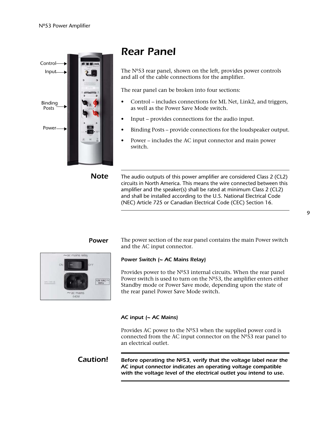

# *Rear Panel*

The Nº53 rear panel, shown on the left, provides power controls and all of the cable connections for the amplifier.

The rear panel can be broken into four sections:

- Control includes connections for ML Net, Link2, and triggers, as well as the Power Save Mode switch.
- Input provides connections for the audio input.
- Binding Posts provide connections for the loudspeaker output.
- Power includes the AC input connector and main power switch.

**Note** The audio outputs of this power amplifier are considered Class 2 (CL2) circuits in North America. This means the wire connected between this amplifier and the speaker(s) shall be rated at minimum Class 2 (CL2) and shall be installed according to the U.S. National Electrical Code (NEC) Article 725 or Canadian Electrical Code (CEC) Section 16.



**Power** The power section of the rear panel contains the main Power switch and the AC input connector.

### *Power Switch (~ AC Mains Relay)*

Provides power to the  $N<sup>o</sup>53$  internal circuits. When the rear panel Power switch is used to turn on the  $N<sup>o</sup>53$ , the amplifier enters either Standby mode or Power Save mode, depending upon the state of the rear panel Power Save Mode switch.

### *AC input (~ AC Mains)*

Provides AC power to the Nº53 when the supplied power cord is connected from the AC input connector on the Nº53 rear panel to an electrical outlet.

*Caution!* Before operating the Nº53, verify that the voltage label near the *AC input connector indicates an operating voltage compatible with the voltage level of the electrical outlet you intend to use.*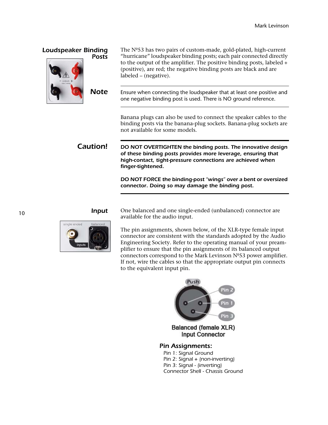| <b>Loudspeaker Binding</b><br><b>Posts</b> | The Nº53 has two pairs of custom-made, gold-plated, high-current<br>"hurricane" loudspeaker binding posts; each pair connected directly<br>to the output of the amplifier. The positive binding posts, labeled $+$<br>(positive), are red; the negative binding posts are black and are<br>labeled – (negative). |
|--------------------------------------------|------------------------------------------------------------------------------------------------------------------------------------------------------------------------------------------------------------------------------------------------------------------------------------------------------------------|
| <b>Note</b>                                | Ensure when connecting the loudspeaker that at least one positive and<br>one negative binding post is used. There is NO ground reference.                                                                                                                                                                        |
|                                            | Banana plugs can also be used to connect the speaker cables to the<br>binding posts via the banana-plug sockets. Banana-plug sockets are<br>not available for some models.                                                                                                                                       |
| Caution!                                   | DO NOT OVERTIGHTEN the binding posts. The innovative design<br>of these binding posts provides more leverage, ensuring that<br>high-contact, tight-pressure connections are achieved when<br>finger-tightened.                                                                                                   |
|                                            | DO NOT FORCE the binding-post "wings" over a bent or oversized<br>connector. Doing so may damage the binding post.                                                                                                                                                                                               |
|                                            |                                                                                                                                                                                                                                                                                                                  |

**Input** One balanced and one single-ended (unbalanced) connector are available for the audio input.

> The pin assignments, shown below, of the XLR-type female input connector are consistent with the standards adopted by the Audio Engineering Society. Refer to the operating manual of your preamplifier to ensure that the pin assignments of its balanced output connectors correspond to the Mark Levinson Nº53 power amplifier. If not, wire the cables so that the appropriate output pin connects to the equivalent input pin.



*Pin 2: Signal + (non-inverting) Pin 3: Signal - (inverting) Connector Shell - Chassis Ground*

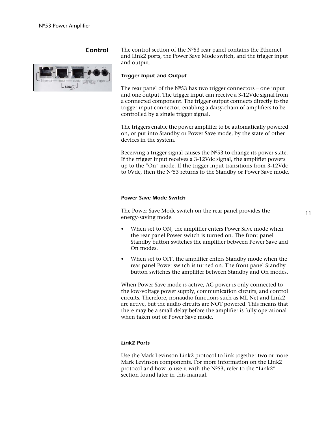

**Control** The control section of the Nº53 rear panel contains the Ethernet and Link2 ports, the Power Save Mode switch, and the trigger input and output.

#### *Trigger Input and Output*

The rear panel of the  $N<sup>o</sup>53$  has two trigger connectors – one input and one output. The trigger input can receive a 3-12Vdc signal from a connected component. The trigger output connects directly to the trigger input connector, enabling a daisy-chain of amplifiers to be controlled by a single trigger signal.

The triggers enable the power amplifier to be automatically powered on, or put into Standby or Power Save mode, by the state of other devices in the system.

Receiving a trigger signal causes the  $N<sup>o</sup>53$  to change its power state. If the trigger input receives a 3-12Vdc signal, the amplifier powers up to the "On" mode. If the trigger input transitions from 3-12Vdc to 0Vdc, then the Nº53 returns to the Standby or Power Save mode.

#### *Power Save Mode Switch*

The Power Save Mode switch on the rear panel provides the energy-saving mode.

- When set to ON, the amplifier enters Power Save mode when the rear panel Power switch is turned on. The front panel Standby button switches the amplifier between Power Save and On modes.
- When set to OFF, the amplifier enters Standby mode when the rear panel Power switch is turned on. The front panel Standby button switches the amplifier between Standby and On modes.

When Power Save mode is active, AC power is only connected to the low-voltage power supply, communication circuits, and control circuits. Therefore, nonaudio functions such as ML Net and Link2 are active, but the audio circuits are NOT powered. This means that there may be a small delay before the amplifier is fully operational when taken out of Power Save mode.

#### *Link2 Ports*

Use the Mark Levinson Link2 protocol to link together two or more Mark Levinson components. For more information on the Link2 protocol and how to use it with the Nº53, refer to the "Link2" section found later in this manual.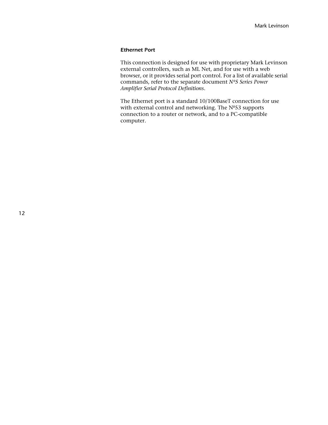#### *Ethernet Port*

This connection is designed for use with proprietary Mark Levinson external controllers, such as ML Net, and for use with a web browser, or it provides serial port control. For a list of available serial commands, refer to the separate document *Nº5 Series Power Amplifier Serial Protocol Definitions*.

The Ethernet port is a standard 10/100BaseT connection for use with external control and networking. The Nº53 supports connection to a router or network, and to a PC-compatible computer.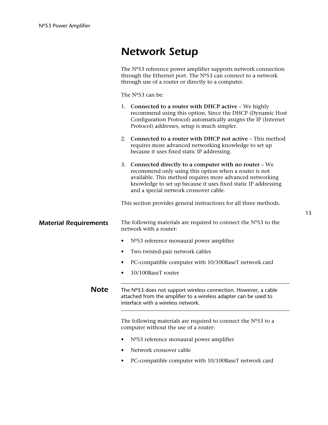### *Network Setup*

|                              | The Nº53 reference power amplifier supports network connection<br>through the Ethernet port. The Nº53 can connect to a network<br>through use of a router or directly to a computer.                                                                                                     |
|------------------------------|------------------------------------------------------------------------------------------------------------------------------------------------------------------------------------------------------------------------------------------------------------------------------------------|
|                              | The Nº53 can be:                                                                                                                                                                                                                                                                         |
|                              | 1. Connected to a router with DHCP active – We highly<br>recommend using this option. Since the DHCP (Dynamic Host<br>Configuration Protocol) automatically assigns the IP (Internet<br>Protocol) addresses, setup is much simpler.                                                      |
|                              | 2. Connected to a router with DHCP not active – This method<br>requires more advanced networking knowledge to set up<br>because it uses fixed static IP addressing.                                                                                                                      |
|                              | 3. Connected directly to a computer with no router - We<br>recommend only using this option when a router is not<br>available. This method requires more advanced networking<br>knowledge to set up because it uses fixed static IP addressing<br>and a special network crossover cable. |
|                              | This section provides general instructions for all three methods.                                                                                                                                                                                                                        |
| <b>Material Requirements</b> | The following materials are required to connect the $No53$ to the<br>network with a router:                                                                                                                                                                                              |
|                              | Nº53 reference monaural power amplifier                                                                                                                                                                                                                                                  |
|                              | Two twisted-pair network cables                                                                                                                                                                                                                                                          |
|                              | PC-compatible computer with 10/100BaseT network card                                                                                                                                                                                                                                     |
|                              | 10/100BaseT router                                                                                                                                                                                                                                                                       |
| <b>Note</b>                  | The $N°53$ does not support wireless connection. However, a cable<br>attached from the amplifier to a wireless adapter can be used to<br>interface with a wireless network.                                                                                                              |
|                              | The following materials are required to connect the $No53$ to a<br>computer without the use of a router:                                                                                                                                                                                 |

- Nº53 reference monaural power amplifier
- Network crossover cable
- PC-compatible computer with 10/100BaseT network card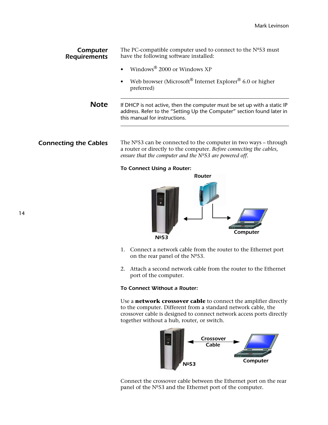| Computer<br><b>Requirements</b> | The PC-compatible computer used to connect to the $No53$ must<br>have the following software installed:                                                                             |
|---------------------------------|-------------------------------------------------------------------------------------------------------------------------------------------------------------------------------------|
|                                 | Windows $\frac{8}{2000}$ or Windows XP<br>$\bullet$                                                                                                                                 |
|                                 | Web browser (Microsoft <sup>®</sup> Internet Explorer <sup>®</sup> 6.0 or higher<br>$\bullet$<br>preferred)                                                                         |
| <b>Note</b>                     | If DHCP is not active, then the computer must be set up with a static IP<br>address. Refer to the "Setting Up the Computer" section found later in<br>this manual for instructions. |
|                                 |                                                                                                                                                                                     |

**Connecting the Cables** The Nº53 can be connected to the computer in two ways – through a router or directly to the computer. *Before connecting the cables, ensure that the computer and the Nº53 are powered off.* 

*To Connect Using a Router:*



- 1. Connect a network cable from the router to the Ethernet port on the rear panel of the Nº53.
- 2. Attach a second network cable from the router to the Ethernet port of the computer.

#### *To Connect Without a Router:*

Use a **network crossover cable** to connect the amplifier directly to the computer. Different from a standard network cable, the crossover cable is designed to connect network access ports directly together without a hub, router, or switch.



Connect the crossover cable between the Ethernet port on the rear panel of the Nº53 and the Ethernet port of the computer.

14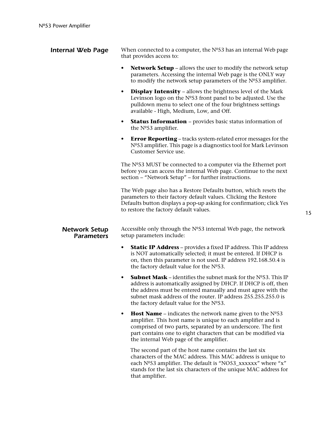| <b>Internal Web Page</b>                  | When connected to a computer, the $Ne53$ has an internal Web page<br>that provides access to:                                                                                                                                                                                                                                   |
|-------------------------------------------|---------------------------------------------------------------------------------------------------------------------------------------------------------------------------------------------------------------------------------------------------------------------------------------------------------------------------------|
|                                           | <b>Network Setup</b> – allows the user to modify the network setup<br>parameters. Accessing the internal Web page is the ONLY way<br>to modify the network setup parameters of the $No53$ amplifier.                                                                                                                            |
|                                           | <b>Display Intensity</b> - allows the brightness level of the Mark<br>Levinson logo on the $No53$ front panel to be adjusted. Use the<br>pulldown menu to select one of the four brightness settings<br>available - High, Medium, Low, and Off.                                                                                 |
|                                           | <b>Status Information</b> – provides basic status information of<br>$\bullet$<br>the $No53$ amplifier.                                                                                                                                                                                                                          |
|                                           | <b>Error Reporting</b> – tracks system-related error messages for the<br>٠<br>Nº53 amplifier. This page is a diagnostics tool for Mark Levinson<br>Customer Service use.                                                                                                                                                        |
|                                           | The Nº53 MUST be connected to a computer via the Ethernet port<br>before you can access the internal Web page. Continue to the next<br>section - "Network Setup" - for further instructions.                                                                                                                                    |
|                                           | The Web page also has a Restore Defaults button, which resets the<br>parameters to their factory default values. Clicking the Restore<br>Defaults button displays a pop-up asking for confirmation; click Yes<br>to restore the factory default values.                                                                         |
| <b>Network Setup</b><br><b>Parameters</b> | Accessible only through the $No53$ internal Web page, the network<br>setup parameters include:                                                                                                                                                                                                                                  |
|                                           | <b>Static IP Address</b> – provides a fixed IP address. This IP address<br>٠<br>is NOT automatically selected; it must be entered. If DHCP is<br>on, then this parameter is not used. IP address 192.168.50.4 is<br>the factory default value for the Nº53.                                                                     |
|                                           | <b>Subnet Mask</b> – identifies the subnet mask for the $N^{\circ}53$ . This IP<br>address is automatically assigned by DHCP. If DHCP is off, then<br>the address must be entered manually and must agree with the<br>subnet mask address of the router. IP address 255.255.255.0 is<br>the factory default value for the Nº53. |
|                                           | <b>Host Name</b> – indicates the network name given to the $N^{\circ}53$<br>٠<br>amplifier. This host name is unique to each amplifier and is<br>comprised of two parts, separated by an underscore. The first<br>part contains one to eight characters that can be modified via<br>the internal Web page of the amplifier.     |
|                                           | The second part of the host name contains the last six<br>characters of the MAC address. This MAC address is unique to<br>each Nº53 amplifier. The default is "NO53_xxxxxx" where "x"<br>stands for the last six characters of the unique MAC address for<br>that amplifier.                                                    |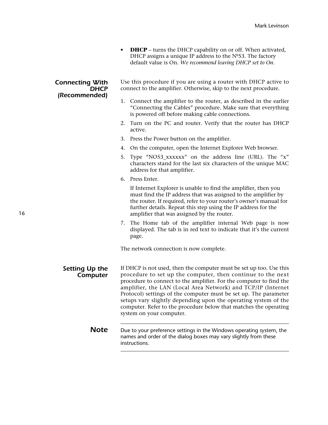**DHCP** – turns the DHCP capability on or off. When activated, DHCP assigns a unique IP address to the Nº53. The factory default value is On. *We recommend leaving DHCP set to On.* 

### *Connecting With DHCP (Recommended)*

Use this procedure if you are using a router with DHCP active to connect to the amplifier. Otherwise, skip to the next procedure.

- 1. Connect the amplifier to the router, as described in the earlier "Connecting the Cables" procedure. Make sure that everything is powered off before making cable connections.
- 2. Turn on the PC and router. Verify that the router has DHCP active.
- 3. Press the Power button on the amplifier.
- 4. On the computer, open the Internet Explorer Web browser.
- 5. Type "NO53\_xxxxxx" on the address line (URL). The "x" characters stand for the last six characters of the unique MAC address for that amplifier.
- 6. Press Enter.

If Internet Explorer is unable to find the amplifier, then you must find the IP address that was assigned to the amplifier by the router. If required, refer to your router's owner's manual for further details. Repeat this step using the IP address for the amplifier that was assigned by the router.

7. The Home tab of the amplifier internal Web page is now displayed. The tab is in red text to indicate that it's the current page.

The network connection is now complete.

*Setting Up the Computer* If DHCP is not used, then the computer must be set up too. Use this procedure to set up the computer, then continue to the next procedure to connect to the amplifier. For the computer to find the amplifier, the LAN (Local Area Network) and TCP/IP (Internet Protocol) settings of the computer must be set up. The parameter setups vary slightly depending upon the operating system of the computer. Refer to the procedure below that matches the operating system on your computer.

### **Note** Due to your preference settings in the Windows operating system, the names and order of the dialog boxes may vary slightly from these instructions.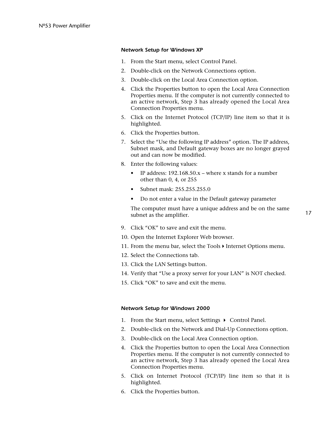#### *Network Setup for Windows XP*

- 1. From the Start menu, select Control Panel.
- 2. Double-click on the Network Connections option.
- 3. Double-click on the Local Area Connection option.
- 4. Click the Properties button to open the Local Area Connection Properties menu. If the computer is not currently connected to an active network, Step 3 has already opened the Local Area Connection Properties menu.
- 5. Click on the Internet Protocol (TCP/IP) line item so that it is highlighted.
- 6. Click the Properties button.
- 7. Select the "Use the following IP address" option. The IP address, Subnet mask, and Default gateway boxes are no longer grayed out and can now be modified.
- 8. Enter the following values:
	- IP address: 192.168.50.x where x stands for a number other than 0, 4, or 255
	- Subnet mask: 255.255.255.0
	- Do not enter a value in the Default gateway parameter

The computer must have a unique address and be on the same subnet as the amplifier.

- 9. Click "OK" to save and exit the menu.
- 10. Open the Internet Explorer Web browser.
- 11. From the menu bar, select the Tools  $\blacktriangleright$  Internet Options menu.
- 12. Select the Connections tab.
- 13. Click the LAN Settings button.
- 14. Verify that "Use a proxy server for your LAN" is NOT checked.
- 15. Click "OK" to save and exit the menu.

#### *Network Setup for Windows 2000*

- 1. From the Start menu, select Settings  $\rightarrow$  Control Panel.
- 2. Double-click on the Network and Dial-Up Connections option.
- 3. Double-click on the Local Area Connection option.
- 4. Click the Properties button to open the Local Area Connection Properties menu. If the computer is not currently connected to an active network, Step 3 has already opened the Local Area Connection Properties menu.
- 5. Click on Internet Protocol (TCP/IP) line item so that it is highlighted.
- 6. Click the Properties button.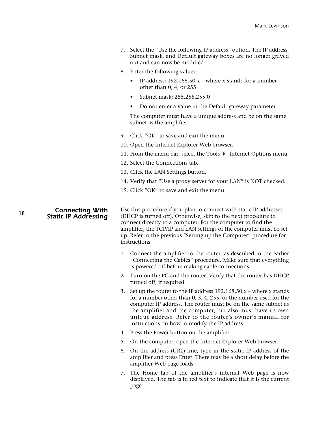- 7. Select the "Use the following IP address" option. The IP address, Subnet mask, and Default gateway boxes are no longer grayed out and can now be modified.
- 8. Enter the following values:
	- IP address:  $192.168.50.x$  where x stands for a number other than 0, 4, or 255
	- Subnet mask: 255.255.255.0
	- Do not enter a value in the Default gateway parameter

The computer must have a unique address and be on the same subnet as the amplifier.

- 9. Click "OK" to save and exit the menu.
- 10. Open the Internet Explorer Web browser.
- 11. From the menu bar, select the Tools  $\blacktriangleright$  Internet Options menu.
- 12. Select the Connections tab.
- 13. Click the LAN Settings button.
- 14. Verify that "Use a proxy server for your LAN" is NOT checked.
- 15. Click "OK" to save and exit the menu.

*Connecting With Static IP Addressing*

18

Use this procedure if you plan to connect with static IP addresses (DHCP is turned off). Otherwise, skip to the next procedure to connect directly to a computer. For the computer to find the amplifier, the TCP/IP and LAN settings of the computer must be set up. Refer to the previous "Setting up the Computer" procedure for instructions.

- 1. Connect the amplifier to the router, as described in the earlier "Connecting the Cables" procedure. Make sure that everything is powered off before making cable connections.
- 2. Turn on the PC and the router. Verify that the router has DHCP turned off, if required.
- 3. Set up the router to the IP address 192.168.50.x where x stands for a number other than 0, 3, 4, 255, or the number used for the computer IP address. The router must be on the same subnet as the amplifier and the computer, but also must have its own unique address. Refer to the router's owner's manual for instructions on how to modify the IP address.
- 4. Press the Power button on the amplifier.
- 5. On the computer, open the Internet Explorer Web browser.
- 6. On the address (URL) line, type in the static IP address of the amplifier and press Enter. There may be a short delay before the amplifier Web page loads.
- 7. The Home tab of the amplifier's internal Web page is now displayed. The tab is in red text to indicate that it is the current page.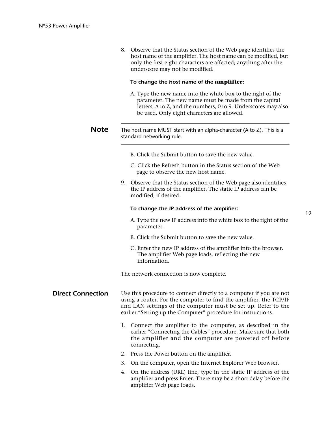|                          | 8. Observe that the Status section of the Web page identifies the<br>host name of the amplifier. The host name can be modified, but<br>only the first eight characters are affected; anything after the<br>underscore may not be modified.                                  |
|--------------------------|-----------------------------------------------------------------------------------------------------------------------------------------------------------------------------------------------------------------------------------------------------------------------------|
|                          | To change the host name of the amplifier:                                                                                                                                                                                                                                   |
|                          | A. Type the new name into the white box to the right of the<br>parameter. The new name must be made from the capital<br>letters, A to Z, and the numbers, 0 to 9. Underscores may also<br>be used. Only eight characters are allowed.                                       |
| <b>Note</b>              | The host name MUST start with an alpha-character (A to Z). This is a<br>standard networking rule.                                                                                                                                                                           |
|                          | B. Click the Submit button to save the new value.                                                                                                                                                                                                                           |
|                          | C. Click the Refresh button in the Status section of the Web<br>page to observe the new host name.                                                                                                                                                                          |
|                          | 9. Observe that the Status section of the Web page also identifies<br>the IP address of the amplifier. The static IP address can be<br>modified, if desired.                                                                                                                |
|                          | To change the IP address of the amplifier:                                                                                                                                                                                                                                  |
|                          | A. Type the new IP address into the white box to the right of the<br>parameter.                                                                                                                                                                                             |
|                          | B. Click the Submit button to save the new value.                                                                                                                                                                                                                           |
|                          | C. Enter the new IP address of the amplifier into the browser.<br>The amplifier Web page loads, reflecting the new<br>information.                                                                                                                                          |
|                          | The network connection is now complete.                                                                                                                                                                                                                                     |
| <b>Direct Connection</b> | Use this procedure to connect directly to a computer if you are not<br>using a router. For the computer to find the amplifier, the TCP/IP<br>and LAN settings of the computer must be set up. Refer to the<br>earlier "Setting up the Computer" procedure for instructions. |
|                          | 1. Connect the amplifier to the computer, as described in the<br>earlier "Connecting the Cables" procedure. Make sure that both<br>the amplifier and the computer are powered off before<br>connecting.                                                                     |
|                          | Press the Power button on the amplifier.<br>2.                                                                                                                                                                                                                              |
|                          | 3.<br>On the computer, open the Internet Explorer Web browser.                                                                                                                                                                                                              |
|                          | On the address (URI) line type in the static IP address of the                                                                                                                                                                                                              |

19

4. On the address (URL) line, type in the static IP address of the amplifier and press Enter. There may be a short delay before the amplifier Web page loads.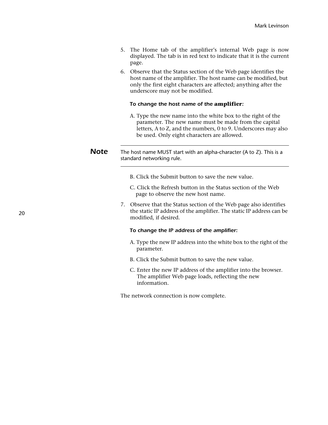- 5. The Home tab of the amplifier's internal Web page is now displayed. The tab is in red text to indicate that it is the current page.
- 6. Observe that the Status section of the Web page identifies the host name of the amplifier. The host name can be modified, but only the first eight characters are affected; anything after the underscore may not be modified.

#### *To change the host name of the* **amplifier***:*

A. Type the new name into the white box to the right of the parameter. The new name must be made from the capital letters, A to Z, and the numbers, 0 to 9. Underscores may also be used. Only eight characters are allowed.

### *Note* The host name MUST start with an alpha-character (A to Z). This is a standard networking rule.

- B. Click the Submit button to save the new value.
- C. Click the Refresh button in the Status section of the Web page to observe the new host name.
- 7. Observe that the Status section of the Web page also identifies the static IP address of the amplifier. The static IP address can be modified, if desired.

#### *To change the IP address of the amplifier:*

- A. Type the new IP address into the white box to the right of the parameter.
- B. Click the Submit button to save the new value.
- C. Enter the new IP address of the amplifier into the browser. The amplifier Web page loads, reflecting the new information.

The network connection is now complete.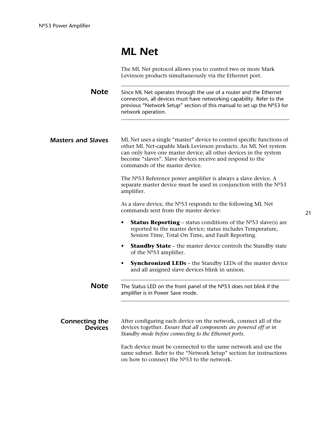### *ML Net*

The ML Net protocol allows you to control two or more Mark Levinson products simultaneously via the Ethernet port.

**Note** Since ML Net operates through the use of a router and the Ethernet connection, all devices must have networking capability. Refer to the previous "Network Setup" section of this manual to set up the Nº53 for network operation.

**Masters and Slaves** ML Net uses a single "master" device to control specific functions of other ML Net-capable Mark Levinson products. An ML Net system can only have one master device; all other devices in the system become "slaves". Slave devices receive and respond to the commands of the master device.

> The Nº53 Reference power amplifier is always a slave device. A separate master device must be used in conjunction with the  $N<sup>o</sup>53$ amplifier.

As a slave device, the  $N<sup>o</sup>53$  responds to the following ML Net commands sent from the master device:

- **Status Reporting** status conditions of the N<sup>o</sup>S3 slave(s) are reported to the master device; status includes Temperature, Session Time, Total On Time, and Fault Reporting.
- **Standby State** the master device controls the Standby state of the Nº53 amplifier.
- **Synchronized LEDs** the Standby LEDs of the master device and all assigned slave devices blink in unison.

**Note** The Status LED on the front panel of the Nº53 does not blink if the amplifier is in Power Save mode.

*Connecting the Devices* After configuring each device on the network, connect all of the devices together. *Ensure that all components are powered off or in Standby mode before connecting to the Ethernet ports.* 

> Each device must be connected to the same network and use the same subnet. Refer to the "Network Setup" section for instructions on how to connect the  $N^{\circ}53$  to the network.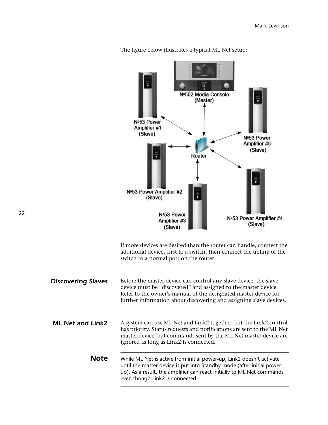

The figure below illustrates a typical ML Net setup:

If more devices are desired than the router can handle, connect the additional devices first to a switch, then connect the uplink of the switch to a normal port on the router.

**Discovering Slaves** Before the master device can control any slave device, the slave device must be "discovered" and assigned to the master device. Refer to the owner's manual of the designated master device for further information about discovering and assigning slave devices. **ML Net and Link2** A system can use ML Net and Link2 together, but the Link2 control has priority. Status requests and notifications are sent to the ML Net master device, but commands sent by the ML Net master device are ignored as long as Link2 is connected. **Note** While ML Net is active from initial power-up, Link2 doesn't activate until the master device is put into Standby mode (after initial power up). As a result, the amplifier can react initially to ML Net commands even though Link2 is connected.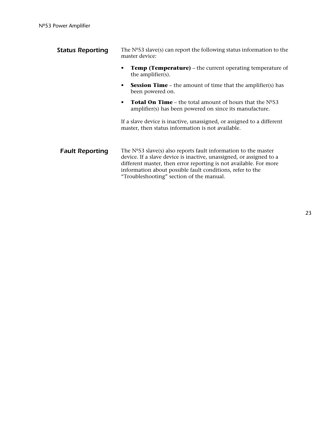| <b>Status Reporting</b> | The $N953$ slave(s) can report the following status information to the<br>master device:                                                                                                                                                                                                                              |  |
|-------------------------|-----------------------------------------------------------------------------------------------------------------------------------------------------------------------------------------------------------------------------------------------------------------------------------------------------------------------|--|
|                         | <b>Temp (Temperature)</b> – the current operating temperature of<br>the amplifier(s).                                                                                                                                                                                                                                 |  |
|                         | <b>Session Time</b> – the amount of time that the amplifier(s) has<br>been powered on.                                                                                                                                                                                                                                |  |
|                         | <b>Total On Time</b> – the total amount of hours that the $N^{\circ}53$<br>amplifier(s) has been powered on since its manufacture.                                                                                                                                                                                    |  |
|                         | If a slave device is inactive, unassigned, or assigned to a different<br>master, then status information is not available.                                                                                                                                                                                            |  |
| <b>Fault Reporting</b>  | The $No53$ slave(s) also reports fault information to the master<br>device. If a slave device is inactive, unassigned, or assigned to a<br>different master, then error reporting is not available. For more<br>information about possible fault conditions, refer to the<br>"Troubleshooting" section of the manual. |  |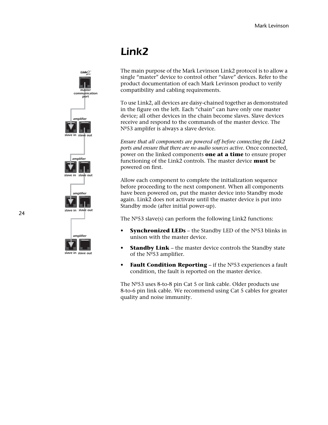### *Link2*

The main purpose of the Mark Levinson Link2 protocol is to allow a single "master" device to control other "slave" devices. Refer to the product documentation of each Mark Levinson product to verify compatibility and cabling requirements.

To use Link2, all devices are daisy-chained together as demonstrated in the figure on the left. Each "chain" can have only one master device; all other devices in the chain become slaves. Slave devices receive and respond to the commands of the master device. The Nº53 amplifer is always a slave device.

*Ensure that all components are powered off before connecting the Link2 ports and ensure that there are no audio sources active.* Once connected, power on the linked components **one at a time** to ensure proper functioning of the Link2 controls. The master device **must** be powered on first.

Allow each component to complete the initialization sequence before proceeding to the next component. When all components have been powered on, put the master device into Standby mode again. Link2 does not activate until the master device is put into Standby mode (after initial power-up).

The  $N<sup>o</sup>53$  slave(s) can perform the following Link2 functions:

- **Synchronized LEDs** the Standby LED of the Nº53 blinks in unison with the master device.
- **Standby Link** the master device controls the Standby state of the Nº53 amplifier.
- **Fault Condition Reporting** if the Nº53 experiences a fault condition, the fault is reported on the master device.

The Nº53 uses 8-to-8 pin Cat 5 or link cable. Older products use 8-to-6 pin link cable. We recommend using Cat 5 cables for greater quality and noise immunity.



24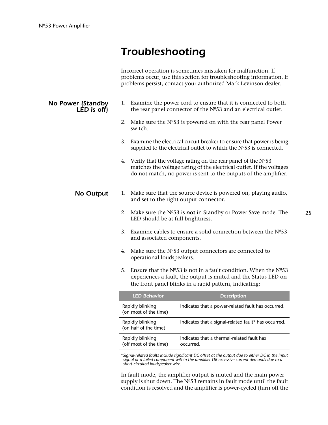### *Troubleshooting*

Incorrect operation is sometimes mistaken for malfunction. If problems occur, use this section for troubleshooting information. If problems persist, contact your authorized Mark Levinson dealer.

### *No Power (Standby LED is off)*

- 1. Examine the power cord to ensure that it is connected to both the rear panel connector of the Nº53 and an electrical outlet.
- 2. Make sure the  $N<sup>o</sup>53$  is powered on with the rear panel Power switch.
- 3. Examine the electrical circuit breaker to ensure that power is being supplied to the electrical outlet to which the Nº53 is connected.
- 4. Verify that the voltage rating on the rear panel of the  $N^{\circ}53$ matches the voltage rating of the electrical outlet. If the voltages do not match, no power is sent to the outputs of the amplifier.

### **No Output** 1. Make sure that the source device is powered on, playing audio, and set to the right output connector.

- 2. Make sure the Nº53 is *not* in Standby or Power Save mode. The LED should be at full brightness.
- 3. Examine cables to ensure a solid connection between the  $N^{\circ}53$ and associated components.
- 4. Make sure the Nº53 output connectors are connected to operational loudspeakers.
- 5. Ensure that the  $N^{\circ}$ 53 is not in a fault condition. When the  $N^{\circ}$ 53 experiences a fault, the output is muted and the Status LED on the front panel blinks in a rapid pattern, indicating:

| <b>LED Behavior</b>                        | <b>Description</b>                                      |
|--------------------------------------------|---------------------------------------------------------|
| Rapidly blinking<br>(on most of the time)  | Indicates that a power-related fault has occurred.      |
| Rapidly blinking<br>(on half of the time)  | Indicates that a signal-related fault* has occurred.    |
| Rapidly blinking<br>(off most of the time) | Indicates that a thermal-related fault has<br>occurred. |

\**Signal-related faults include significant DC offset at the output due to either DC in the input signal or a failed component within the amplifier OR excessive current demands due to a short-circuited loudspeaker wire.*

In fault mode, the amplifier output is muted and the main power supply is shut down. The  $N<sup>o</sup>53$  remains in fault mode until the fault condition is resolved and the amplifier is power-cycled (turn off the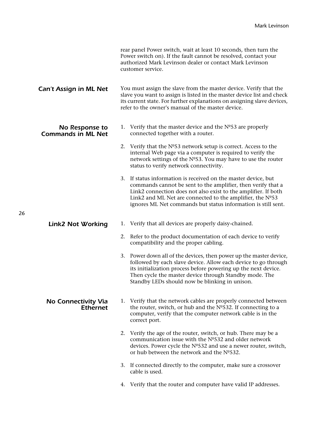|                                               | rear panel Power switch, wait at least 10 seconds, then turn the<br>Power switch on). If the fault cannot be resolved, contact your<br>authorized Mark Levinson dealer or contact Mark Levinson<br>customer service.                                                                                                             |
|-----------------------------------------------|----------------------------------------------------------------------------------------------------------------------------------------------------------------------------------------------------------------------------------------------------------------------------------------------------------------------------------|
| <b>Can't Assign in ML Net</b>                 | You must assign the slave from the master device. Verify that the<br>slave you want to assign is listed in the master device list and check<br>its current state. For further explanations on assigning slave devices,<br>refer to the owner's manual of the master device.                                                      |
| No Response to<br><b>Commands in ML Net</b>   | 1. Verify that the master device and the $No53$ are properly<br>connected together with a router.                                                                                                                                                                                                                                |
|                                               | 2. Verify that the Nº53 network setup is correct. Access to the<br>internal Web page via a computer is required to verify the<br>network settings of the Nº53. You may have to use the router<br>status to verify network connectivity.                                                                                          |
|                                               | 3. If status information is received on the master device, but<br>commands cannot be sent to the amplifier, then verify that a<br>Link2 connection does not also exist to the amplifier. If both<br>Link2 and ML Net are connected to the amplifier, the $No53$<br>ignores ML Net commands but status information is still sent. |
| <b>Link2 Not Working</b>                      | 1. Verify that all devices are properly daisy-chained.                                                                                                                                                                                                                                                                           |
|                                               | 2. Refer to the product documentation of each device to verify<br>compatibility and the proper cabling.                                                                                                                                                                                                                          |
|                                               | 3. Power down all of the devices, then power up the master device,<br>followed by each slave device. Allow each device to go through<br>its initialization process before powering up the next device.<br>Then cycle the master device through Standby mode. The<br>Standby LEDs should now be blinking in unison.               |
| <b>No Connectivity Via</b><br><b>Ethernet</b> | 1. Verify that the network cables are properly connected between<br>the router, switch, or hub and the Nº532. If connecting to a<br>computer, verify that the computer network cable is in the<br>correct port.                                                                                                                  |
|                                               | 2. Verify the age of the router, switch, or hub. There may be a<br>communication issue with the Nº532 and older network<br>devices. Power cycle the Nº532 and use a newer router, switch,<br>or hub between the network and the Nº532.                                                                                           |
|                                               | 3. If connected directly to the computer, make sure a crossover<br>cable is used.                                                                                                                                                                                                                                                |
|                                               | 4. Verify that the router and computer have valid IP addresses.                                                                                                                                                                                                                                                                  |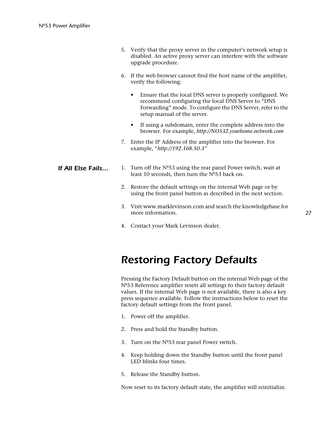| 5. Verify that the proxy server in the computer's network setup is |
|--------------------------------------------------------------------|
| disabled. An active proxy server can interfere with the software   |
| upgrade procedure.                                                 |

- 6. If the web browser cannot find the host name of the amplifier, verify the following:
	- Ensure that the local DNS server is properly configured. We recommend configuring the local DNS Server to "DNS Forwarding" mode. To configure the DNS Server, refer to the setup manual of the server.
	- If using a subdomain, enter the complete address into the browser. For example, *http://NO532.yourhome.network.com*
- 7. Enter the IP Address of the amplifier into the browser. For example, "*http://192.168.50.3"*
- **If All Else Fails...** 1. Turn off the Nº53 using the rear panel Power switch, wait at least 10 seconds, then turn the Nº53 back on.
	- 2. Restore the default settings on the internal Web page or by using the front panel button as described in the next section.
	- 3. Visit www.marklevinson.com and search the knowledgebase for more information.
	- 4. Contact your Mark Levinson dealer.

### *Restoring Factory Defaults*

Pressing the Factory Default button on the internal Web page of the Nº53 Reference amplifier resets all settings to their factory default values. If the internal Web page is not available, there is also a key press sequence available. Follow the instructions below to reset the factory default settings from the front panel.

- 1. Power off the amplifier.
- 2. Press and hold the Standby button.
- 3. Turn on the Nº53 rear panel Power switch.
- 4. Keep holding down the Standby button until the front panel LED blinks four times.
- 5. Release the Standby button.

Now reset to its factory default state, the amplifier will reinitialize.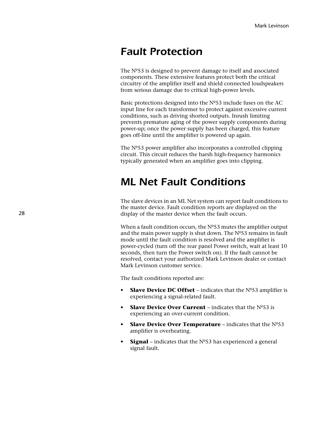### *Fault Protection*

The Nº53 is designed to prevent damage to itself and associated components. These extensive features protect both the critical circuitry of the amplifier itself and shield connected loudspeakers from serious damage due to critical high-power levels.

Basic protections designed into the Nº53 include fuses on the AC input line for each transformer to protect against excessive current conditions, such as driving shorted outputs. Inrush limiting prevents premature aging of the power supply components during power-up; once the power supply has been charged, this feature goes off-line until the amplifier is powered up again.

The Nº53 power amplifier also incorporates a controlled clipping circuit. This circuit reduces the harsh high-frequency harmonics typically generated when an amplifier goes into clipping.

### *ML Net Fault Conditions*

The slave devices in an ML Net system can report fault conditions to the master device. Fault condition reports are displayed on the display of the master device when the fault occurs.

When a fault condition occurs, the Nº53 mutes the amplifier output and the main power supply is shut down. The Nº53 remains in fault mode until the fault condition is resolved and the amplifier is power-cycled (turn off the rear panel Power switch, wait at least 10 seconds, then turn the Power switch on). If the fault cannot be resolved, contact your authorized Mark Levinson dealer or contact Mark Levinson customer service.

The fault conditions reported are:

- **Slave Device DC Offset** indicates that the Nº53 amplifier is experiencing a signal-related fault.
- **Slave Device Over Current** indicates that the Nº53 is experiencing an over-current condition.
- **Slave Device Over Temperature** indicates that the Nº53 amplifier is overheating.
- **Signal** indicates that the  $N<sup>o</sup>53$  has experienced a general signal fault.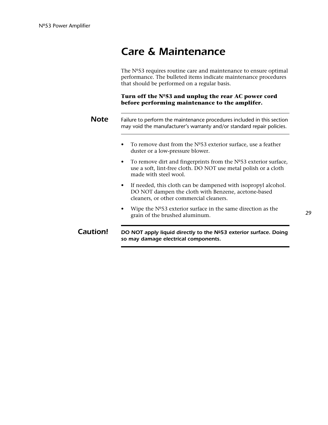### *Care & Maintenance*

The Nº53 requires routine care and maintenance to ensure optimal performance. The bulleted items indicate maintenance procedures that should be performed on a regular basis.

**Turn off the Nº53 and unplug the rear AC power cord before performing maintenance to the amplifer.** 

| <b>Note</b> | Failure to perform the maintenance procedures included in this section<br>may void the manufacturer's warranty and/or standard repair policies.                              |  |  |
|-------------|------------------------------------------------------------------------------------------------------------------------------------------------------------------------------|--|--|
|             | To remove dust from the $N^{\circ}53$ exterior surface, use a feather<br>$\bullet$<br>duster or a low-pressure blower.                                                       |  |  |
|             | To remove dirt and fingerprints from the $No53$ exterior surface,<br>$\bullet$<br>use a soft, lint-free cloth. DO NOT use metal polish or a cloth<br>made with steel wool.   |  |  |
|             | If needed, this cloth can be dampened with isopropyl alcohol.<br>$\bullet$<br>DO NOT dampen the cloth with Benzene, acetone-based<br>cleaners, or other commercial cleaners. |  |  |
|             |                                                                                                                                                                              |  |  |

• Wipe the Nº53 exterior surface in the same direction as the grain of the brushed aluminum.

**Caution!** DO NOT apply liquid directly to the Nº53 exterior surface. Doing *so may damage electrical components.*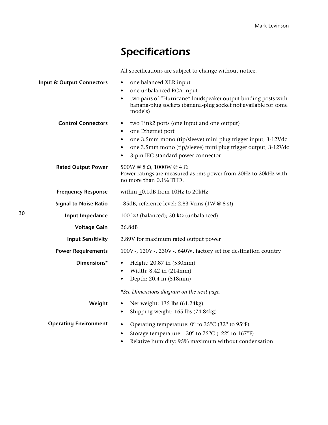# *Specifications*

All specifications are subject to change without notice.

| <b>Input &amp; Output Connectors</b> | one balanced XLR input<br>٠<br>one unbalanced RCA input<br>two pairs of "Hurricane" loudspeaker output binding posts with<br>$\bullet$<br>banana-plug sockets (banana-plug socket not available for some<br>models)                                                        |
|--------------------------------------|----------------------------------------------------------------------------------------------------------------------------------------------------------------------------------------------------------------------------------------------------------------------------|
| <b>Control Connectors</b>            | two Link2 ports (one input and one output)<br>$\bullet$<br>one Ethernet port<br>٠<br>one 3.5mm mono (tip/sleeve) mini plug trigger input, 3-12Vdc<br>٠<br>one 3.5mm mono (tip/sleeve) mini plug trigger output, 3-12Vdc<br>3-pin IEC standard power connector<br>$\bullet$ |
| <b>Rated Output Power</b>            | 500W @ 8 $\Omega$ , 1000W @ 4 $\Omega$<br>Power ratings are measured as rms power from 20Hz to 20kHz with<br>no more than 0.1% THD.                                                                                                                                        |
| <b>Frequency Response</b>            | within $\pm 0.1$ dB from 10Hz to 20kHz                                                                                                                                                                                                                                     |
| <b>Signal to Noise Ratio</b>         | -85dB, reference level: 2.83 Vrms (1W @ 8 $\Omega$ )                                                                                                                                                                                                                       |
| Input Impedance                      | 100 kΩ (balanced); 50 kΩ (unbalanced)                                                                                                                                                                                                                                      |
| <b>Voltage Gain</b>                  | 26.8dB                                                                                                                                                                                                                                                                     |
| <b>Input Sensitivity</b>             | 2.89V for maximum rated output power                                                                                                                                                                                                                                       |
| <b>Power Requirements</b>            | 100V~, 120V~, 230V~, 640W, factory set for destination country                                                                                                                                                                                                             |
| Dimensions*                          | Height: 20.87 in (530mm)<br>$\bullet$<br>Width: 8.42 in (214mm)<br>$\bullet$<br>Depth: 20.4 in (518mm)                                                                                                                                                                     |
|                                      | *See Dimensions diagram on the next page.                                                                                                                                                                                                                                  |
| Weight                               | Net weight: 135 lbs (61.24kg)<br>٠<br>Shipping weight: 165 lbs (74.84kg)<br>٠                                                                                                                                                                                              |
| <b>Operating Environment</b>         | Operating temperature: 0° to 35°C (32° to 95°F)<br>$\bullet$<br>Storage temperature: $-30^{\circ}$ to $75^{\circ}$ C ( $-22^{\circ}$ to $167^{\circ}$ F)<br>$\bullet$<br>Relative humidity: 95% maximum without condensation                                               |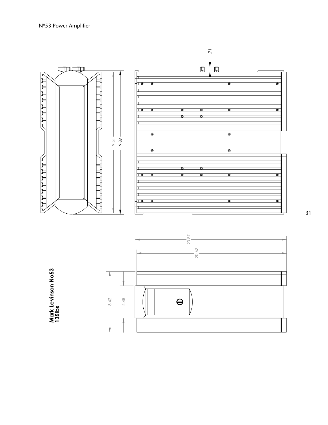

31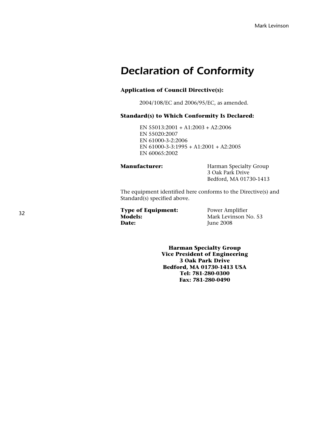### *Declaration of Conformity*

### **Application of Council Directive(s):**

2004/108/EC and 2006/95/EC, as amended.

### **Standard(s) to Which Conformity Is Declared:**

EN 55013:2001 + A1:2003 + A2:2006 EN 55020:2007 EN 61000-3-2:2006 EN 61000-3-3:1995 + A1:2001 + A2:2005 EN 60065:2002

**Manufacturer:** Harman Specialty Group 3 Oak Park Drive Bedford, MA 01730-1413

The equipment identified here conforms to the Directive(s) and Standard(s) specified above.

**Type of Equipment:** Power Amplifier<br> **Models:** Mark Levinson N **Models:** Mark Levinson No. 53<br> **Date:** Mark Levinson No. 53

**Date:** June 2008

**Harman Specialty Group Vice President of Engineering 3 Oak Park Drive Bedford, MA 01730-1413 USA Tel: 781-280-0300 Fax: 781-280-0490**